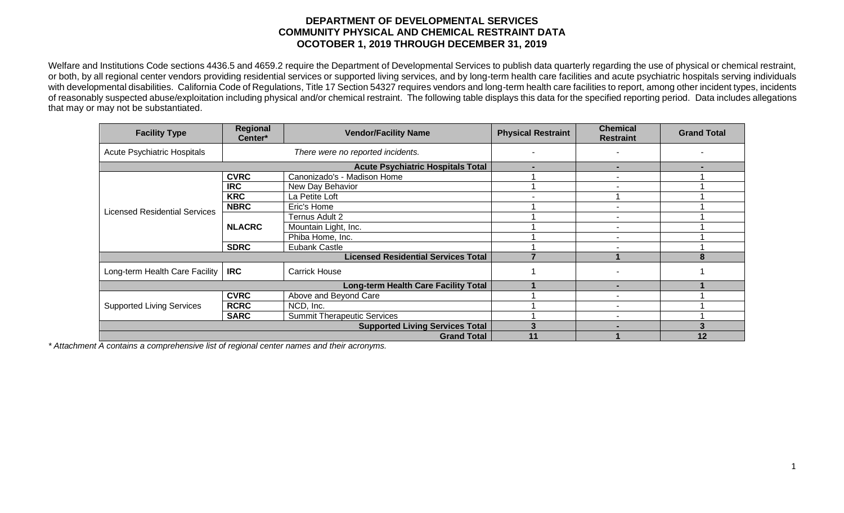## **DEPARTMENT OF DEVELOPMENTAL SERVICES COMMUNITY PHYSICAL AND CHEMICAL RESTRAINT DATA OCOTOBER 1, 2019 THROUGH DECEMBER 31, 2019**

Welfare and Institutions Code sections 4436.5 and 4659.2 require the Department of Developmental Services to publish data quarterly regarding the use of physical or chemical restraint, or both, by all regional center vendors providing residential services or supported living services, and by long-term health care facilities and acute psychiatric hospitals serving individuals with developmental disabilities. California Code of Regulations, Title 17 Section 54327 requires vendors and long-term health care facilities to report, among other incident types, incidents of reasonably suspected abuse/exploitation including physical and/or chemical restraint. The following table displays this data for the specified reporting period. Data includes allegations that may or may not be substantiated.

| <b>Facility Type</b>                 | Regional<br>Center*                        | <b>Vendor/Facility Name</b>        | <b>Physical Restraint</b> | <b>Chemical</b><br><b>Restraint</b> | <b>Grand Total</b> |
|--------------------------------------|--------------------------------------------|------------------------------------|---------------------------|-------------------------------------|--------------------|
| <b>Acute Psychiatric Hospitals</b>   | There were no reported incidents.          |                                    |                           |                                     |                    |
|                                      | <b>Acute Psychiatric Hospitals Total</b>   | $\blacksquare$                     | $\overline{\phantom{0}}$  |                                     |                    |
| <b>Licensed Residential Services</b> | <b>CVRC</b>                                | Canonizado's - Madison Home        |                           | ۰                                   |                    |
|                                      | <b>IRC</b>                                 | New Day Behavior                   |                           |                                     |                    |
|                                      | <b>KRC</b>                                 | La Petite Loft                     |                           |                                     |                    |
|                                      | <b>NBRC</b>                                | Eric's Home                        |                           |                                     |                    |
|                                      | <b>NLACRC</b>                              | Ternus Adult 2                     |                           |                                     |                    |
|                                      |                                            | Mountain Light, Inc.               |                           |                                     |                    |
|                                      |                                            | Phiba Home, Inc.                   |                           |                                     |                    |
|                                      | <b>SDRC</b>                                | Eubank Castle                      |                           |                                     |                    |
|                                      | <b>Licensed Residential Services Total</b> |                                    |                           | 8                                   |                    |
| Long-term Health Care Facility       | <b>IRC</b>                                 | <b>Carrick House</b>               |                           |                                     |                    |
|                                      | Long-term Health Care Facility Total       |                                    | -                         |                                     |                    |
| <b>Supported Living Services</b>     | <b>CVRC</b>                                | Above and Beyond Care              |                           |                                     |                    |
|                                      | <b>RCRC</b>                                | NCD, Inc.                          |                           |                                     |                    |
|                                      | <b>SARC</b>                                | <b>Summit Therapeutic Services</b> |                           | ٠                                   |                    |
|                                      | <b>Supported Living Services Total</b>     |                                    |                           |                                     |                    |
| <b>Grand Total</b>                   |                                            |                                    | 11                        |                                     | 12                 |

*\* Attachment A contains a comprehensive list of regional center names and their acronyms.*